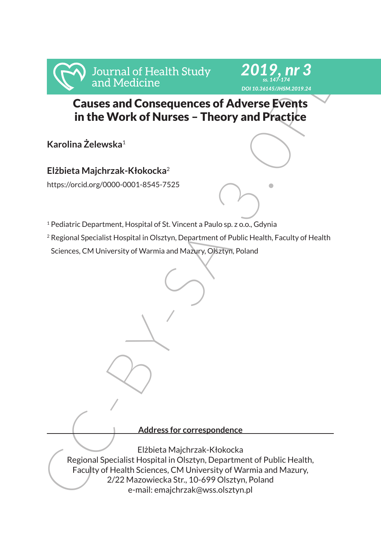



# Causes and Consequences of Adverse Events in the Work of Nurses – Theory and Practice

**Karolina Żelewska**<sup>1</sup>

**Elżbieta Majchrzak-Kłokocka**<sup>2</sup>

https://orcid.org/0000-0001-8545-7525

- <sup>1</sup> Pediatric Department, Hospital of St. Vincent a Paulo sp. z o.o., Gdynia
- <sup>2</sup> Regional Specialist Hospital in Olsztyn, Department of Public Health, Faculty of Health Sciences, CM University of Warmia and Mazury, Olsztyn, Poland

**Address for correspondence**

From and Medicine<br>
Causes and Consequences of Adverse Events<br>
in the Work of Nurses – Theory and Practice<br>
Karolina Zelewska<sup>1</sup><br>
Elżbieta Majchrzak-Kłokocka<sup>2</sup><br>
Nurs://orcidorg/0000-0001-8545-7525<br>
<sup>2</sup> Pediatric Department Elżbieta Majchrzak-Kłokocka Regional Specialist Hospital in Olsztyn, Department of Public Health, Faculty of Health Sciences, CM University of Warmia and Mazury, 2/22 Mazowiecka Str., 10-699 Olsztyn, Poland e-mail: emajchrzak@wss.olsztyn.pl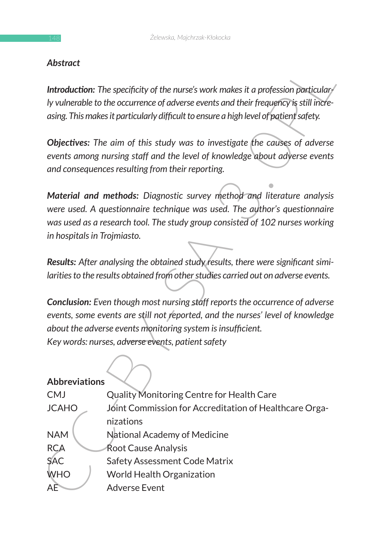### *Abstract*

### **Abbreviations**

| Abstract                                                                                                                                                                                                                                                             |                                                                                                                                                                                                                                     |  |  |  |  |
|----------------------------------------------------------------------------------------------------------------------------------------------------------------------------------------------------------------------------------------------------------------------|-------------------------------------------------------------------------------------------------------------------------------------------------------------------------------------------------------------------------------------|--|--|--|--|
| Introduction: The specificity of the nurse's work makes it a profession particular<br>ly vulnerable to the occurrence of adverse events and their frequency is still incre-<br>asing. This makes it particularly difficult to ensure a high level of patient safety. |                                                                                                                                                                                                                                     |  |  |  |  |
| Objectives: The aim of this study was to investigate the causes of adverse<br>events among nursing staff and the level of knowledge about adverse events<br>and consequences resulting from their reporting.                                                         |                                                                                                                                                                                                                                     |  |  |  |  |
| in hospitals in Trojmiasto.                                                                                                                                                                                                                                          | Material and methods: Diagnostic survey method and literature analysis<br>were used. A questionnaire technique was used. The author's questionnaire<br>was used as a research tool. The study group consisted of 102 nurses working |  |  |  |  |
| Results: After analysing the obtained study results, there were significant simi-<br>larities to the results obtained from other studies carried out on adverse events.                                                                                              |                                                                                                                                                                                                                                     |  |  |  |  |
|                                                                                                                                                                                                                                                                      | <b>Conclusion:</b> Even though most nursing staff reports the occurrence of adverse                                                                                                                                                 |  |  |  |  |
| events, some events are still not reported, and the nurses' level of knowledge                                                                                                                                                                                       |                                                                                                                                                                                                                                     |  |  |  |  |
| about the adverse events monitoring system is insufficient.                                                                                                                                                                                                          |                                                                                                                                                                                                                                     |  |  |  |  |
| Key words: nurses, adverse events, patient safety                                                                                                                                                                                                                    |                                                                                                                                                                                                                                     |  |  |  |  |
| <b>Abbreviations</b>                                                                                                                                                                                                                                                 |                                                                                                                                                                                                                                     |  |  |  |  |
| <b>CMJ</b>                                                                                                                                                                                                                                                           | Quality Monitoring Centre for Health Care                                                                                                                                                                                           |  |  |  |  |
| <b>JCAHO</b>                                                                                                                                                                                                                                                         | Joint Commission for Accreditation of Healthcare Orga-                                                                                                                                                                              |  |  |  |  |
|                                                                                                                                                                                                                                                                      | nizations                                                                                                                                                                                                                           |  |  |  |  |
| <b>NAM</b>                                                                                                                                                                                                                                                           | National Academy of Medicine                                                                                                                                                                                                        |  |  |  |  |
| <b>RCA</b>                                                                                                                                                                                                                                                           | Root Cause Analysis                                                                                                                                                                                                                 |  |  |  |  |
| <b>SAC</b>                                                                                                                                                                                                                                                           | Safety Assessment Code Matrix                                                                                                                                                                                                       |  |  |  |  |
| <b>WHO</b>                                                                                                                                                                                                                                                           | <b>World Health Organization</b>                                                                                                                                                                                                    |  |  |  |  |
| AĒ                                                                                                                                                                                                                                                                   | <b>Adverse Event</b>                                                                                                                                                                                                                |  |  |  |  |
|                                                                                                                                                                                                                                                                      |                                                                                                                                                                                                                                     |  |  |  |  |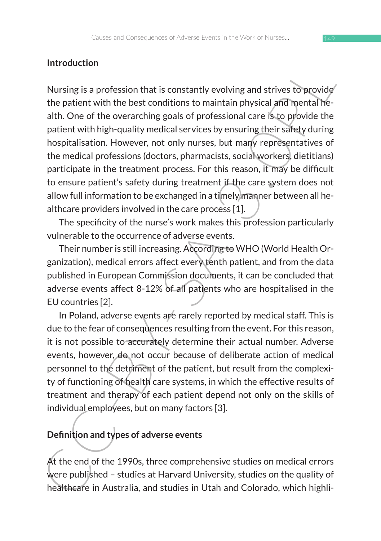### **Introduction**

Introduction<br>
Nursing is a profession that is constantly evolving and strives to provide<br>
Nursing is a profession that is constantly evolving and strives to provide<br>
ath. One of the overarching goals of professional care i Nursing is a profession that is constantly evolving and strives to provide the patient with the best conditions to maintain physical and mental health. One of the overarching goals of professional care is to provide the patient with high-quality medical services by ensuring their safety during hospitalisation. However, not only nurses, but many representatives of the medical professions (doctors, pharmacists, social workers, dietitians) participate in the treatment process. For this reason, it may be difficult to ensure patient's safety during treatment if the care system does not allow full information to be exchanged in a timely manner between all healthcare providers involved in the care process [1].

The specificity of the nurse's work makes this profession particularly vulnerable to the occurrence of adverse events.

Their number is still increasing. According to WHO (World Health Organization), medical errors affect every tenth patient, and from the data published in European Commission documents, it can be concluded that adverse events affect 8-12% of all patients who are hospitalised in the EU countries [2].

In Poland, adverse events are rarely reported by medical staff. This is due to the fear of consequences resulting from the event. For this reason, it is not possible to accurately determine their actual number. Adverse events, however, do not occur because of deliberate action of medical personnel to the detriment of the patient, but result from the complexity of functioning of health care systems, in which the effective results of treatment and therapy of each patient depend not only on the skills of individual employees, but on many factors [3].

### **Definition and types of adverse events**

At the end of the 1990s, three comprehensive studies on medical errors were published – studies at Harvard University, studies on the quality of healthcare in Australia, and studies in Utah and Colorado, which highli-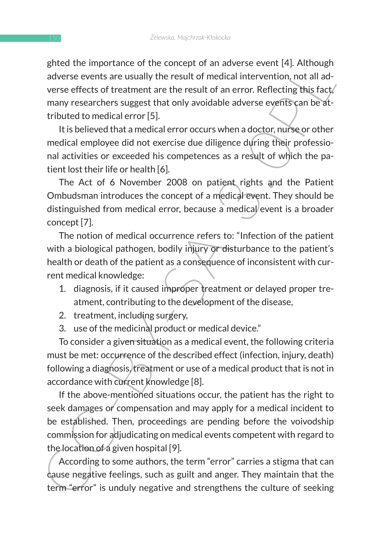ghted the importance of the concept of an adverse event [4]. Although adverse events are usually the result of medical intervention, not all adverse effects of treatment are the result of an error. Reflecting this fact, many researchers suggest that only avoidable adverse events can be attributed to medical error [5].

It is believed that a medical error occurs when a doctor, nurse or other medical employee did not exercise due diligence during their professional activities or exceeded his competences as a result of which the patient lost their life or health [6].

The Act of 6 November 2008 on patient rights and the Patient Ombudsman introduces the concept of a medical event. They should be distinguished from medical error, because a medical event is a broader concept [7].

The notion of medical occurrence refers to: "Infection of the patient with a biological pathogen, bodily injury or disturbance to the patient's health or death of the patient as a consequence of inconsistent with current medical knowledge:

- 1. diagnosis, if it caused improper treatment or delayed proper treatment, contributing to the development of the disease,
- 2. treatment, including surgery,
- 3. use of the medicinal product or medical device."

To consider a given situation as a medical event, the following criteria must be met: occurrence of the described effect (infection, injury, death) following a diagnosis, treatment or use of a medical product that is not in accordance with current knowledge [8].

gitted in inputation to the contexplant of an adverse events are usually the result of andexisting the result of medicial intervention, not all adverse events are usually the result of an error. Reflecting this fact,<br>many If the above-mentioned situations occur, the patient has the right to seek damages or compensation and may apply for a medical incident to be established. Then, proceedings are pending before the voivodship commission for adjudicating on medical events competent with regard to the location of a given hospital [9].

According to some authors, the term "error" carries a stigma that can cause negative feelings, such as guilt and anger. They maintain that the term "error" is unduly negative and strengthens the culture of seeking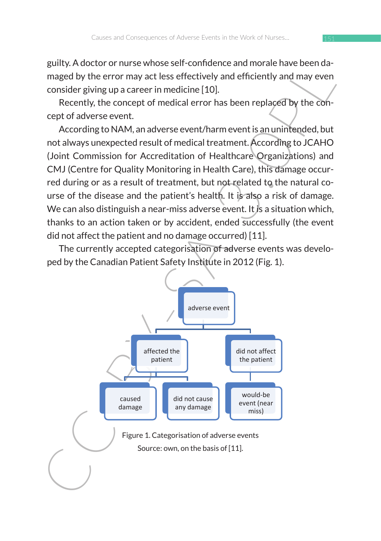guilty. A doctor or nurse whose self-confidence and morale have been damaged by the error may act less effectively and efficiently and may even consider giving up a career in medicine [10].

Recently, the concept of medical error has been replaced by the concept of adverse event.

According to NAM, an adverse event/harm event is an unintended, but not always unexpected result of medical treatment. According to JCAHO (Joint Commission for Accreditation of Healthcare Organizations) and CMJ (Centre for Quality Monitoring in Health Care), this damage occurred during or as a result of treatment, but not related to the natural course of the disease and the patient's health. It is also a risk of damage. We can also distinguish a near-miss adverse event. It is a situation which, thanks to an action taken or by accident, ended successfully (the event did not affect the patient and no damage occurred) [11].

The currently accepted categorisation of adverse events was developed by the Canadian Patient Safety Institute in 2012 (Fig. 1).

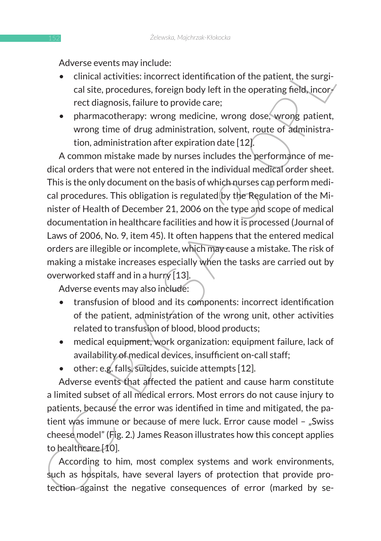Adverse events may include:

- clinical activities: incorrect identification of the patient, the surgical site, procedures, foreign body left in the operating field, incorrect diagnosis, failure to provide care;
- pharmacotherapy: wrong medicine, wrong dose, wrong patient, wrong time of drug administration, solvent, route of administration, administration after expiration date [12].

Althous: events inay much the particle of the particle and the particle and the condition of the particle and the considered tag anomic red diate, procedures, foreign body left in the operating field, incorrect identificat A common mistake made by nurses includes the performance of medical orders that were not entered in the individual medical order sheet. This is the only document on the basis of which nurses can perform medical procedures. This obligation is regulated by the Regulation of the Minister of Health of December 21, 2006 on the type and scope of medical documentation in healthcare facilities and how it is processed (Journal of Laws of 2006, No. 9, item 45). It often happens that the entered medical orders are illegible or incomplete, which may cause a mistake. The risk of making a mistake increases especially when the tasks are carried out by overworked staff and in a hurry [13].

Adverse events may also include:

- transfusion of blood and its components: incorrect identification of the patient, administration of the wrong unit, other activities related to transfusion of blood, blood products;
- medical equipment, work organization: equipment failure, lack of availability of medical devices, insufficient on-call staff;
- other: e.g. falls, suicides, suicide attempts [12].

Adverse events that affected the patient and cause harm constitute a limited subset of all medical errors. Most errors do not cause injury to patients, because the error was identified in time and mitigated, the patient was immune or because of mere luck. Error cause model - "Swiss cheese model" (Fig. 2.) James Reason illustrates how this concept applies to healthcare [10].

According to him, most complex systems and work environments, such as hospitals, have several layers of protection that provide protection against the negative consequences of error (marked by se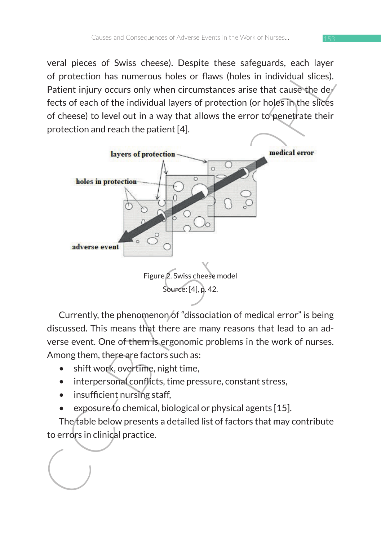veral pieces of Swiss cheese). Despite these safeguards, each layer of protection has numerous holes or flaws (holes in individual slices). Patient injury occurs only when circumstances arise that cause the de $_7$ fects of each of the individual layers of protection (or holes in the slices of cheese) to level out in a way that allows the error to penetrate their protection and reach the patient [4].



Currently, the phenomenon of "dissociation of medical error" is being discussed. This means that there are many reasons that lead to an adverse event. One of them is ergonomic problems in the work of nurses. Among them, there are factors such as:

- shift work, overtime, night time,
- interpersonal conflicts, time pressure, constant stress,
- insufficient nursing staff,
- exposure to chemical, biological or physical agents [15].

The table below presents a detailed list of factors that may contribute to errors in clinical practice.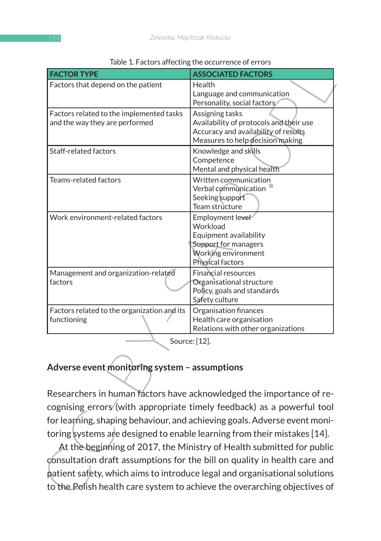|                                                                            | Table 1. Factors arrecting the occurrence of errors                                                                                                                                                                                                                                                                                                                                                                                                                 |
|----------------------------------------------------------------------------|---------------------------------------------------------------------------------------------------------------------------------------------------------------------------------------------------------------------------------------------------------------------------------------------------------------------------------------------------------------------------------------------------------------------------------------------------------------------|
| <b>FACTOR TYPE</b>                                                         | <b>ASSOCIATED FACTORS</b>                                                                                                                                                                                                                                                                                                                                                                                                                                           |
| Factors that depend on the patient                                         | Health<br>Language and communication<br>Personality, social factors                                                                                                                                                                                                                                                                                                                                                                                                 |
| Factors related to the implemented tasks<br>and the way they are performed | Assigning tasks<br>Availability of protocols and their use<br>Accuracy and availability of results<br>Measures to help decision making                                                                                                                                                                                                                                                                                                                              |
| Staff-related factors                                                      | Knowledge and skills<br>Competence<br>Mental and physical health                                                                                                                                                                                                                                                                                                                                                                                                    |
| Teams-related factors                                                      | Written communication<br>Verbal communication<br>Seeking support<br>Team structure                                                                                                                                                                                                                                                                                                                                                                                  |
| Work environment-related factors                                           | Employment level<br>Workload<br>Equipment availability<br>Support for managers<br>Working environment<br>Physical factors                                                                                                                                                                                                                                                                                                                                           |
| Management and organization-related<br>factors                             | <b>Financial resources</b><br>Organisational structure<br>Policy, goals and standards<br>Safety culture                                                                                                                                                                                                                                                                                                                                                             |
| Factors related to the organization and its<br>functioning                 | Organisation finances<br>Health care organisation<br>Relations with other organizations                                                                                                                                                                                                                                                                                                                                                                             |
| Adverse event monitoring system - assumptions                              | Source: [12].<br>Researchers in human factors have acknowledged the importance of re-                                                                                                                                                                                                                                                                                                                                                                               |
|                                                                            | cognising errors (with appropriate timely feedback) as a powerful tool<br>for learning, shaping behaviour, and achieving goals. Adverse event moni-<br>toring systems are designed to enable learning from their mistakes [14].<br>At the beginning of 2017, the Ministry of Health submitted for public<br>consultation draft assumptions for the bill on quality in health care and<br>patient safety, which aims to introduce legal and organisational solutions |
|                                                                            | to the Polish health care system to achieve the overarching objectives of                                                                                                                                                                                                                                                                                                                                                                                           |

#### Table 1. Factors affecting the occurrence of errors

### **Adverse event monitoring system – assumptions**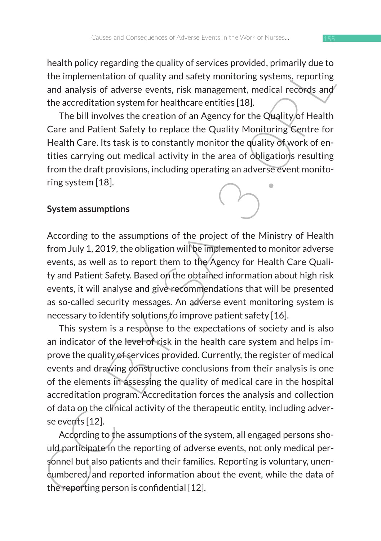health policy regarding the quality of services provided, primarily due to the implementation of quality and safety monitoring systems, reporting and analysis of adverse events, risk management, medical records and the accreditation system for healthcare entities [18].

The bill involves the creation of an Agency for the Quality of Health Care and Patient Safety to replace the Quality Monitoring Centre for Health Care. Its task is to constantly monitor the quality of work of entities carrying out medical activity in the area of obligations resulting from the draft provisions, including operating an adverse event monitoring system [18].

#### **System assumptions**

According to the assumptions of the project of the Ministry of Health from July 1, 2019, the obligation will be implemented to monitor adverse events, as well as to report them to the Agency for Health Care Quality and Patient Safety. Based on the obtained information about high risk events, it will analyse and give recommendations that will be presented as so-called security messages. An adverse event monitoring system is necessary to identify solutions to improve patient safety [16].

neati policy regarding the quality on services provided, primarly due to<br>the implementation of quality and safety monitoring systems, reporting<br>and analysis of adverse events, risk management, medical records and<br>the accre This system is a response to the expectations of society and is also an indicator of the level of risk in the health care system and helps improve the quality of services provided. Currently, the register of medical events and drawing constructive conclusions from their analysis is one of the elements in assessing the quality of medical care in the hospital accreditation program. Accreditation forces the analysis and collection of data on the clinical activity of the therapeutic entity, including adverse events [12].

According to the assumptions of the system, all engaged persons should participate in the reporting of adverse events, not only medical personnel but also patients and their families. Reporting is voluntary, unencumbered, and reported information about the event, while the data of the reporting person is confidential [12].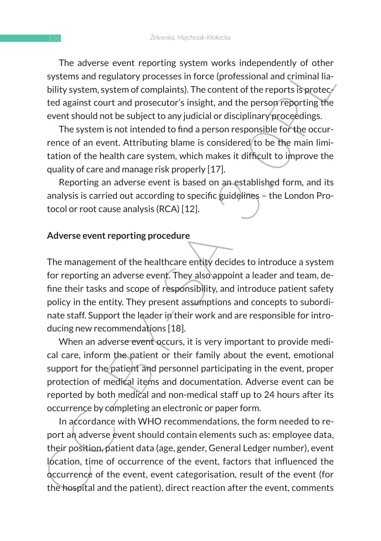The adverse event reporting system works independently of other systems and regulatory processes in force (professional and criminal liability system, system of complaints). The content of the reports is protected against court and prosecutor's insight, and the person reporting the event should not be subject to any judicial or disciplinary proceedings.

The system is not intended to find a person responsible for the occurrence of an event. Attributing blame is considered to be the main limitation of the health care system, which makes it difficult to improve the quality of care and manage risk properly [17].

Reporting an adverse event is based on an established form, and its analysis is carried out according to specific guidelines – the London Protocol or root cause analysis (RCA) [12].

#### **Adverse event reporting procedure**

In a above event reporting system was interpending of unit<br>systems and regulatory processes in force (professional and criminal lia-<br>bility system, system of complaints). The content of the reports is protec-<br>ted agains co The management of the healthcare entity decides to introduce a system for reporting an adverse event. They also appoint a leader and team, define their tasks and scope of responsibility, and introduce patient safety policy in the entity. They present assumptions and concepts to subordinate staff. Support the leader in their work and are responsible for introducing new recommendations [18].

When an adverse event occurs, it is very important to provide medical care, inform the patient or their family about the event, emotional support for the patient and personnel participating in the event, proper protection of medical items and documentation. Adverse event can be reported by both medical and non-medical staff up to 24 hours after its occurrence by completing an electronic or paper form.

In accordance with WHO recommendations, the form needed to report an adverse event should contain elements such as: employee data, their position, patient data (age, gender, General Ledger number), event location, time of occurrence of the event, factors that influenced the occurrence of the event, event categorisation, result of the event (for the hospital and the patient), direct reaction after the event, comments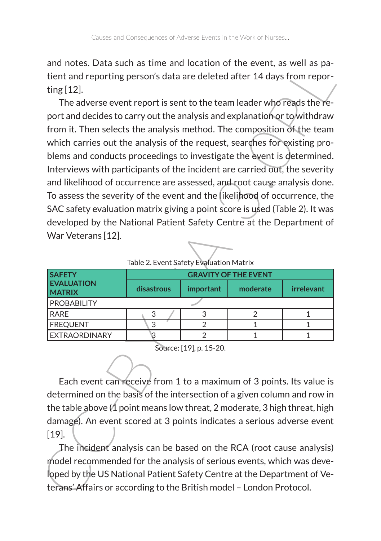and notes. Data such as time and location of the event, as well as patient and reporting person's data are deleted after 14 days from reporting [12].

and notes. Data studies after the control of the event, as well as the spectral of the technical or the scenario of the team leader who reads the re-<br>The adverse event report is sent to the team leader who reads the re-<br>p The adverse event report is sent to the team leader who reads the report and decides to carry out the analysis and explanation or to withdraw from it. Then selects the analysis method. The composition of the team which carries out the analysis of the request, searches for existing problems and conducts proceedings to investigate the event is determined. Interviews with participants of the incident are carried out, the severity and likelihood of occurrence are assessed, and root cause analysis done. To assess the severity of the event and the likelihood of occurrence, the SAC safety evaluation matrix giving a point score is used (Table 2). It was developed by the National Patient Safety Centre at the Department of War Veterans [12].

| $10010 \pm 10110$ called $10100$ and $10111$ |                             |           |          |            |  |  |  |
|----------------------------------------------|-----------------------------|-----------|----------|------------|--|--|--|
| <b>SAFETY</b>                                | <b>GRAVITY OF THE EVENT</b> |           |          |            |  |  |  |
| <b>EVALUATION</b><br><b>MATRIX</b>           | disastrous                  | important | moderate | irrelevant |  |  |  |
| PROBABILITY                                  |                             |           |          |            |  |  |  |
| RARF                                         |                             |           |          |            |  |  |  |
| <b>FREOUENT</b>                              |                             |           |          |            |  |  |  |
| EXTRAORDINARY                                |                             |           |          |            |  |  |  |

Table 2. Event Safety Evaluation Matrix

Source: [19], p. 15-20.

Each event can receive from 1 to a maximum of 3 points. Its value is determined on the basis of the intersection of a given column and row in the table above  $\Lambda$  point means low threat, 2 moderate, 3 high threat, high damage). An event scored at 3 points indicates a serious adverse event [19].

The incident analysis can be based on the RCA (root cause analysis) model recommended for the analysis of serious events, which was developed by the US National Patient Safety Centre at the Department of Veterans' Affairs or according to the British model – London Protocol.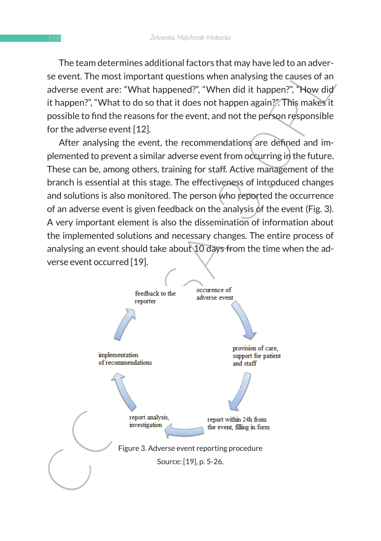The team determines additional factors that may have led to an adverse event. The most important questions when analysing the causes of an adverse event are: "What happened?", "When did it happen?", "How did it happen?", "What to do so that it does not happen again?". This makes it possible to find the reasons for the event, and not the person responsible for the adverse event [12].

After analysing the event, the recommendations are defined and implemented to prevent a similar adverse event from occurring in the future. These can be, among others, training for staff. Active management of the branch is essential at this stage. The effectiveness of introduced changes and solutions is also monitored. The person who reported the occurrence of an adverse event is given feedback on the analysis of the event (Fig. 3). A very important element is also the dissemination of information about the implemented solutions and necessary changes. The entire process of analysing an event should take about 10 days from the time when the adverse event occurred [19].

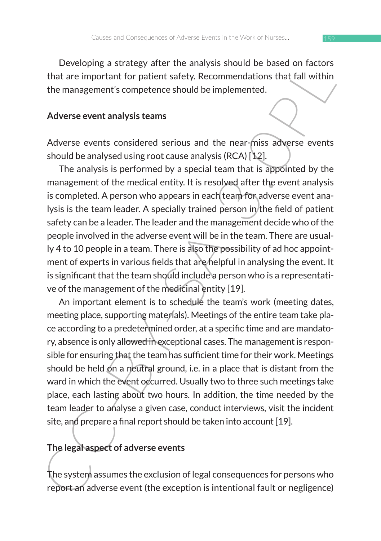Developing a strategy after the analysis should be based on factors that are important for patient safety. Recommendations that fall within the management's competence should be implemented.

#### **Adverse event analysis teams**

Adverse events considered serious and the near-miss adverse events should be analysed using root cause analysis (RCA) [12].

Decoting a strategy affer the allargy sisted to the ractions that are important for patient starty. Recommendations that fall within the management's completence should be implemented.<br>
Adverse events considered serious an The analysis is performed by a special team that is appointed by the management of the medical entity. It is resolved after the event analysis is completed. A person who appears in each team for adverse event analysis is the team leader. A specially trained person in the field of patient safety can be a leader. The leader and the management decide who of the people involved in the adverse event will be in the team. There are usually 4 to 10 people in a team. There is also the possibility of ad hoc appointment of experts in various fields that are helpful in analysing the event. It is significant that the team should include a person who is a representative of the management of the medicinal entity [19].

An important element is to schedule the team's work (meeting dates, meeting place, supporting materials). Meetings of the entire team take place according to a predetermined order, at a specific time and are mandatory, absence is only allowed in exceptional cases. The management is responsible for ensuring that the team has sufficient time for their work. Meetings should be held on a neutral ground, i.e. in a place that is distant from the ward in which the event occurred. Usually two to three such meetings take place, each lasting about two hours. In addition, the time needed by the team leader to analyse a given case, conduct interviews, visit the incident site, and prepare a final report should be taken into account [19].

## **The legal aspect of adverse events**

The system assumes the exclusion of legal consequences for persons who report an adverse event (the exception is intentional fault or negligence)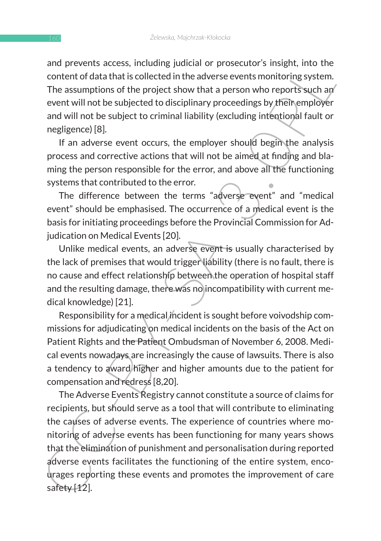and prevents access, including judicial or prosecutor's insight, into the content of data that is collected in the adverse events monitoring system. The assumptions of the project show that a person who reports such an event will not be subjected to disciplinary proceedings by their employer and will not be subject to criminal liability (excluding intentional fault or negligence) [8].

If an adverse event occurs, the employer should begin the analysis process and corrective actions that will not be aimed at finding and blaming the person responsible for the error, and above all the functioning systems that contributed to the error.

The difference between the terms "adverse event" and "medical event" should be emphasised. The occurrence of a medical event is the basis for initiating proceedings before the Provincial Commission for Adjudication on Medical Events [20].

Unlike medical events, an adverse event is usually characterised by the lack of premises that would trigger liability (there is no fault, there is no cause and effect relationship between the operation of hospital staff and the resulting damage, there was no incompatibility with current medical knowledge) [21].

Responsibility for a medical incident is sought before voivodship commissions for adjudicating on medical incidents on the basis of the Act on Patient Rights and the Patient Ombudsman of November 6, 2008. Medical events nowadays are increasingly the cause of lawsuits. There is also a tendency to award higher and higher amounts due to the patient for compensation and redress [8,20].

and prevents. access, including jouckiain or prosecutors insignit, mind the education for the project show that a person who reports such and will not be subjected to disciplinary proceedings by the The project show that a The Adverse Events Registry cannot constitute a source of claims for recipients, but should serve as a tool that will contribute to eliminating the causes of adverse events. The experience of countries where monitoring of adverse events has been functioning for many years shows that the elimination of punishment and personalisation during reported adverse events facilitates the functioning of the entire system, encourages reporting these events and promotes the improvement of care safety [12].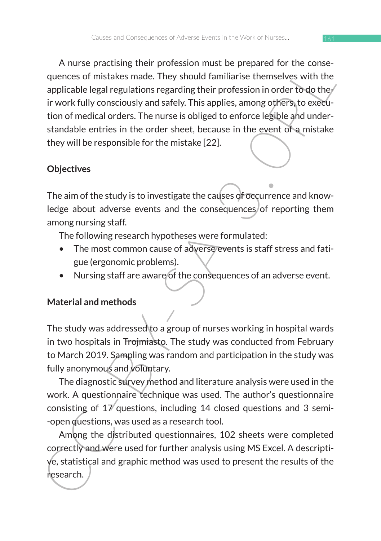A nurse practising their provision must be prepared or one-<br>repeated only calculated provision must be prepared or the constrained<br>applicable legal regulations regarding their profession in order to<br>do the involve fully co A nurse practising their profession must be prepared for the consequences of mistakes made. They should familiarise themselves with the applicable legal regulations regarding their profession in order to do their work fully consciously and safely. This applies, among others, to execution of medical orders. The nurse is obliged to enforce legible and understandable entries in the order sheet, because in the event of a mistake they will be responsible for the mistake [22].

### **Objectives**

The aim of the study is to investigate the causes of occurrence and knowledge about adverse events and the consequences of reporting them among nursing staff.

The following research hypotheses were formulated:

- The most common cause of adverse events is staff stress and fatigue (ergonomic problems).
- Nursing staff are aware of the consequences of an adverse event.

## **Material and methods**

The study was addressed to a group of nurses working in hospital wards in two hospitals in Trojmiasto. The study was conducted from February to March 2019. Sampling was random and participation in the study was fully anonymous and voluntary.

The diagnostic survey method and literature analysis were used in the work. A questionnaire technique was used. The author's questionnaire consisting of 17 questions, including 14 closed questions and 3 semi- -open questions, was used as a research tool.

Among the distributed questionnaires, 102 sheets were completed correctly and were used for further analysis using MS Excel. A descriptive, statistical and graphic method was used to present the results of the research.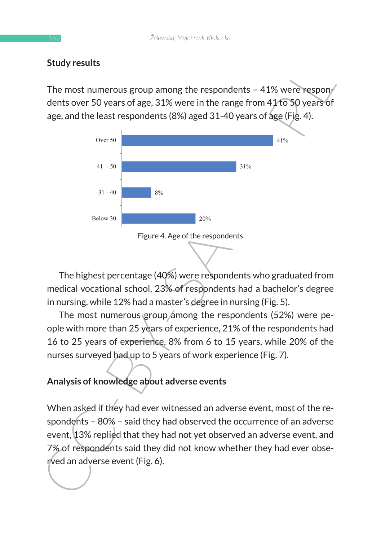#### **Study results**

The most numerous group among the respondents  $-41\%$  were respondents over 50 years of age, 31% were in the range from 41 to 50 years of age, and the least respondents (8%) aged 31-40 years of age (Fig. 4).



The highest percentage (40%) were respondents who graduated from medical vocational school, 23% of respondents had a bachelor's degree in nursing, while 12% had a master's degree in nursing (Fig. 5).

The most numerous group among the respondents (52%) were people with more than 25 years of experience, 21% of the respondents had 16 to 25 years of experience, 8% from 6 to 15 years, while 20% of the nurses surveyed had up to 5 years of work experience (Fig. 7).

## **Analysis of knowledge about adverse events**

When asked if they had ever witnessed an adverse event, most of the respondents – 80% – said they had observed the occurrence of an adverse event, 13% replied that they had not yet observed an adverse event, and 7% of respondents said they did not know whether they had ever observed an adverse event (Fig. 6).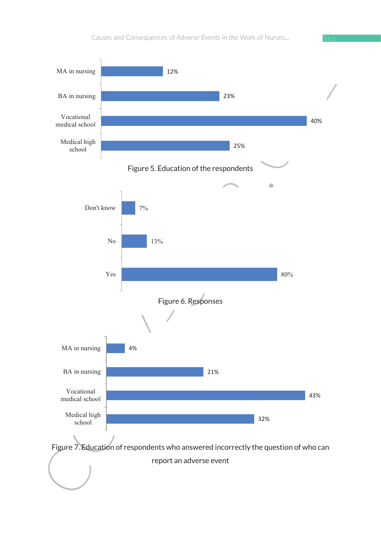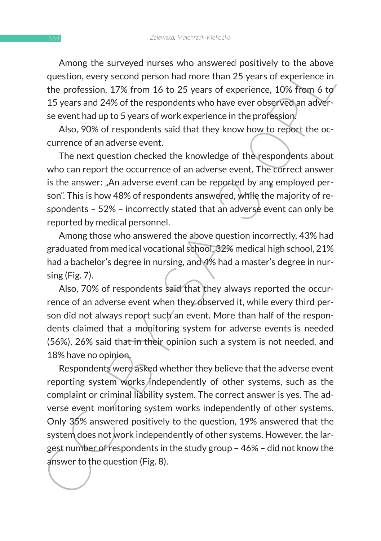Among the surveyed nurses who answered positively to the above question, every second person had more than 25 years of experience in the profession, 17% from 16 to 25 years of experience, 10% from 6 to 15 years and 24% of the respondents who have ever observed an adverse event had up to 5 years of work experience in the profession.

Also, 90% of respondents said that they know how to report the occurrence of an adverse event.

The next question checked the knowledge of the respondents about who can report the occurrence of an adverse event. The correct answer is the answer: "An adverse event can be reported by any employed person". This is how 48% of respondents answered, while the majority of respondents – 52% – incorrectly stated that an adverse event can only be reported by medical personnel.

Among those who answered the above question incorrectly, 43% had graduated from medical vocational school, 32% medical high school, 21% had a bachelor's degree in nursing, and 4% had a master's degree in nursing (Fig. 7).

Also, 70% of respondents said that they always reported the occurrence of an adverse event when they observed it, while every third person did not always report such an event. More than half of the respondents claimed that a monitoring system for adverse events is needed (56%), 26% said that in their opinion such a system is not needed, and 18% have no opinion.

Among its suiveyed intrass with although estimate pusitively to the alone<br>equation, every second person had more than 25 years of experience in<br>the profession, 17% from 16 to 25 years of experience, 10% from 6 to<br>15 years Respondents were asked whether they believe that the adverse event reporting system works independently of other systems, such as the complaint or criminal liability system. The correct answer is yes. The adverse event monitoring system works independently of other systems. Only 35% answered positively to the question, 19% answered that the system does not work independently of other systems. However, the largest number of respondents in the study group – 46% – did not know the answer to the question (Fig. 8).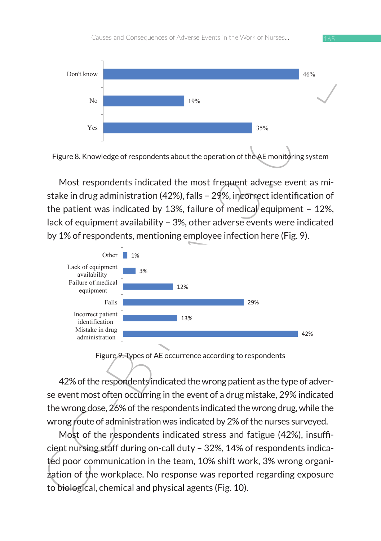

Figure 8. Knowledge of respondents about the operation of the AE monitoring system Figure 8. Knowledge of respondents about the operation of the AE monitoring system

Most respondents indicated the most frequent adverse event as mistake in drug administration (42%), falls – 29%, incorrect identification of the patient was indicated by 13%, failure of medical equipment - 12%, lack of equipment availability - 3%, other adverse events were indicated by 1% of respondents, mentioning employee infection here (Fig. 9).



Figure 9. Types of AE occurrence according to respondents

 $\sqrt{2}$ 

42% of the respondents indicated the wrong patient as the type of adverse event most often occurring in the event of a drug mistake, 29% indicated the wrong dose,  $26\%$  of the respondents indicated the wrong drug, while the wrong route of administration was indicated by 2% of the nurses surveyed. adverted international results and design to the control of the control of the control of the control of the c<br>.

 $M_{\text{Ost}}$  of the respondents indicated stress and fatigue (42%), insufficient nursing staff during on-call duty – 32%, 14% of respondents indicated poor communication in the team, 10% shift work, 3% wrong organi- $\frac{1}{2}$ ation of the workplace. No response was reported regarding exposure to biological, chemical and physical agents (Fig. 10). ing staff du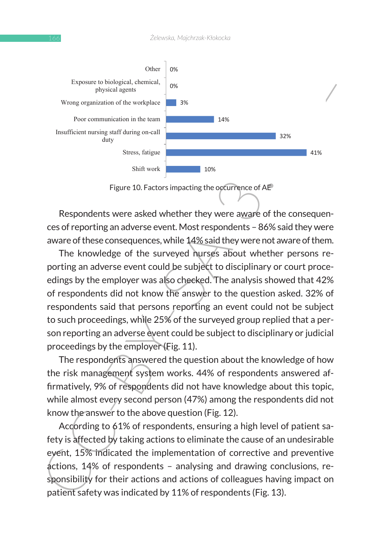

Figure 10. Factors impacting the occurrence of AE

Respondents were asked whether they were aware of the consequences of reporting an adverse event. Most respondents – 86% said they were aware of these consequences, while 14% said they were not aware of them.

The knowledge of the surveyed nurses about whether persons reporting an adverse event could be subject to disciplinary or court proceedings by the employer was also checked. The analysis showed that 42% of respondents did not know the answer to the question asked. 32% of respondents said that persons reporting an event could not be subject to such proceedings, while 25% of the surveyed group replied that a person reporting an adverse event could be subject to disciplinary or judicial proceedings by the employer (Fig. 11).

The respondents answered the question about the knowledge of how the risk management system works. 44% of respondents answered affirmatively, 9% of respondents did not have knowledge about this topic, while almost every second person (47%) among the respondents did not know the answer to the above question (Fig. 12).

According to 61% of respondents, ensuring a high level of patient safety is affected by taking actions to eliminate the cause of an undesirable event, 15% indicated the implementation of corrective and preventive actions, 14% of respondents – analysing and drawing conclusions, responsibility for their actions and actions of colleagues having impact on patient safety was indicated by 11% of respondents (Fig. 13).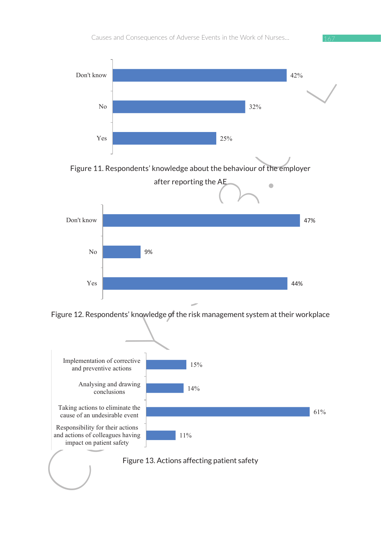

Figure 11. Respondents' knowledge about the behaviour of the employer



Figure 12. Respondents' knowledge of the risk management system at their workplace

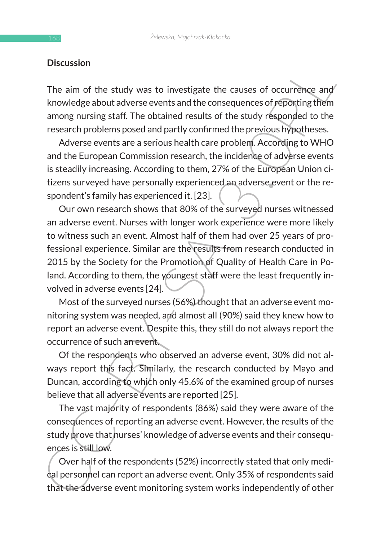#### **Discussion**

The aim of the study was to investigate the causes of occurrence and knowledge about adverse events and the consequences of reporting them among nursing staff. The obtained results of the study responded to the research problems posed and partly confirmed the previous hypotheses.

Adverse events are a serious health care problem. According to WHO and the European Commission research, the incidence of adverse events is steadily increasing. According to them, 27% of the European Union citizens surveyed have personally experienced an adverse event or the respondent's family has experienced it. [23].

Discussion<br>
The aim of the study was to investigate the causes of occurrence and<br>
the knowledge about adverse events and the consequences of reproducts<br>
among nursing staff. The obtained results of the study responded to Our own research shows that 80% of the surveyed nurses witnessed an adverse event. Nurses with longer work experience were more likely to witness such an event. Almost half of them had over 25 years of professional experience. Similar are the results from research conducted in 2015 by the Society for the Promotion of Quality of Health Care in Poland. According to them, the youngest staff were the least frequently involved in adverse events [24].

Most of the surveyed nurses (56%) thought that an adverse event monitoring system was needed, and almost all (90%) said they knew how to report an adverse event. Despite this, they still do not always report the occurrence of such an event.

Of the respondents who observed an adverse event, 30% did not always report this fact. Similarly, the research conducted by Mayo and Duncan, according to which only 45.6% of the examined group of nurses believe that all adverse events are reported [25].

The vast majority of respondents (86%) said they were aware of the consequences of reporting an adverse event. However, the results of the study prove that nurses' knowledge of adverse events and their consequences is still low.

Over half of the respondents (52%) incorrectly stated that only medical personnel can report an adverse event. Only 35% of respondents said that the adverse event monitoring system works independently of other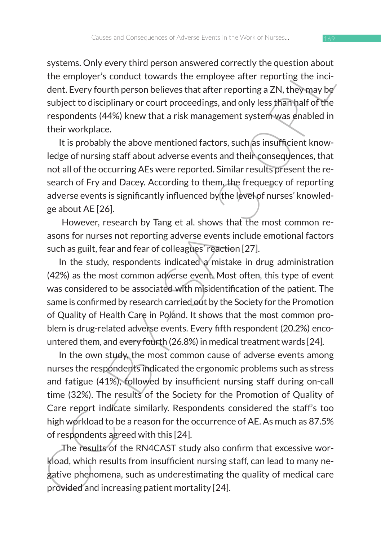systems. Only every third person answered correctly the question about the employer's conduct towards the employee after reporting the incident. Every fourth person believes that after reporting a ZN, they may be subject to disciplinary or court proceedings, and only less than half of the respondents (44%) knew that a risk management system was enabled in their workplace.

It is probably the above mentioned factors, such as insufficient knowledge of nursing staff about adverse events and their consequences, that not all of the occurring AEs were reported. Similar results present the research of Fry and Dacey. According to them, the frequency of reporting adverse events is significantly influenced by the level of nurses' knowledge about AE [26].

 However, research by Tang et al. shows that the most common reasons for nurses not reporting adverse events include emotional factors such as guilt, fear and fear of colleagues' reaction [27].

systems. Only every turn person aniswerea correctly the employer's conduct towards the employe after reporting the incl-<br>dent. Every fourth person believes that after reporting the incl-<br>dent. Every fourth person believes In the study, respondents indicated a mistake in drug administration (42%) as the most common adverse event. Most often, this type of event was considered to be associated with misidentification of the patient. The same is confirmed by research carried out by the Society for the Promotion of Quality of Health Care in Poland. It shows that the most common problem is drug-related adverse events. Every fifth respondent (20.2%) encountered them, and every fourth (26.8%) in medical treatment wards [24].

In the own study, the most common cause of adverse events among nurses the respondents indicated the ergonomic problems such as stress and fatigue (41%), followed by insufficient nursing staff during on-call time (32%). The results of the Society for the Promotion of Quality of Care report indicate similarly. Respondents considered the staff's too high workload to be a reason for the occurrence of AE. As much as 87.5% of respondents agreed with this [24].

 The results of the RN4CAST study also confirm that excessive workload, which results from insufficient nursing staff, can lead to many negative phenomena, such as underestimating the quality of medical care provided and increasing patient mortality [24].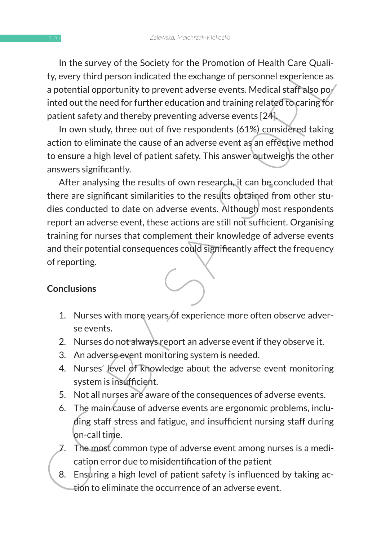In the survey of the Society for the Promotion of Health Care Quality, every third person indicated the exchange of personnel experience as a potential opportunity to prevent adverse events. Medical staff also pointed out the need for further education and training related to caring for patient safety and thereby preventing adverse events [24].

In own study, three out of five respondents (61%) considered taking action to eliminate the cause of an adverse event as an effective method to ensure a high level of patient safety. This answer outweighs the other answers significantly.

In the survey of the society for the rotational Care Quality are represented the exchange of personnel care capacities approximate the exchange of personnel experience as a potential opportunity to prevent adverse events. After analysing the results of own research, it can be concluded that there are significant similarities to the results obtained from other studies conducted to date on adverse events. Although most respondents report an adverse event, these actions are still not sufficient. Organising training for nurses that complement their knowledge of adverse events and their potential consequences could significantly affect the frequency of reporting.

#### **Conclusions**

- 1. Nurses with more years of experience more often observe adverse events.
- 2. Nurses do not always report an adverse event if they observe it.
- 3. An adverse event monitoring system is needed.
- 4. Nurses' level of knowledge about the adverse event monitoring system is insufficient.
- 5. Not all nurses are aware of the consequences of adverse events.
- 6. The main cause of adverse events are ergonomic problems, including staff stress and fatigue, and insufficient nursing staff during on-call time.
- 7. The most common type of adverse event among nurses is a medication error due to misidentification of the patient
- 8. Ensuring a high level of patient safety is influenced by taking action to eliminate the occurrence of an adverse event.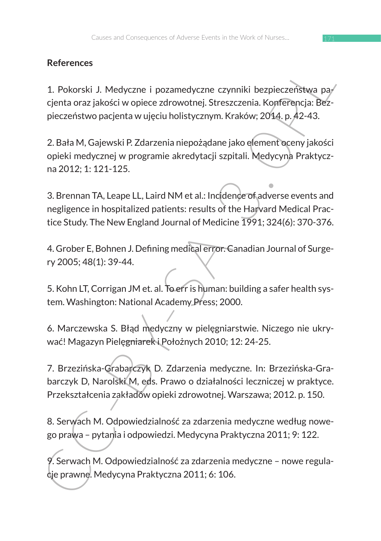# **References**

1. Pokorski J. Medyczne i pozamedyczne czynniki bezpieczeństwa pacjenta oraz jakości w opiece zdrowotnej. Streszczenia. Konferencja: Bezpieczeństwo pacjenta w ujęciu holistycznym. Kraków; 2014. p. 42-43.

2. Bała M, Gajewski P. Zdarzenia niepożądane jako element oceny jakości opieki medycznej w programie akredytacji szpitali. Medycyna Praktyczna 2012; 1: 121-125.

References<br>
1. Pokorski J. Medyczne i pozamedyczne czynniki bezpieczeństwa pa/<br>
cjenta oraz jakości w opiece zdrowotnej. Streszczenia. Konferencja: Bezpieczeństwo pacjenta w ujęciu holistycznym. Kraków: 2014, p. 42-43.<br>
2. 3. Brennan TA, Leape LL, Laird NM et al.: Incidence of adverse events and negligence in hospitalized patients: results of the Harvard Medical Practice Study. The New England Journal of Medicine 1991; 324(6): 370-376.

4. Grober E, Bohnen J. Defining medical error. Canadian Journal of Surgery 2005; 48(1): 39-44.

5. Kohn LT, Corrigan JM et. al. To err is human: building a safer health system. Washington: National Academy Press; 2000.

6. Marczewska S. Błąd medyczny w pielęgniarstwie. Niczego nie ukrywać! Magazyn Pielęgniarek i Położnych 2010; 12: 24-25.

7. Brzezińska-Grabarczyk D. Zdarzenia medyczne. In: Brzezińska-Grabarczyk D, Narolski M, eds. Prawo o działalności leczniczej w praktyce. Przekształcenia zakładów opieki zdrowotnej. Warszawa; 2012. p. 150.

8. Serwach M. Odpowiedzialność za zdarzenia medyczne według nowego prawa – pytania i odpowiedzi. Medycyna Praktyczna 2011; 9: 122.

9. Serwach M. Odpowiedzialność za zdarzenia medyczne – nowe regulacje prawne. Medycyna Praktyczna 2011; 6: 106.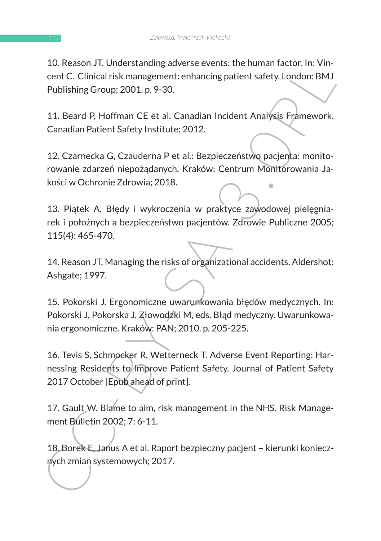10. Reason JT. Understanding adverse events: the human factor. In: Vincent C. Clinical risk management: enhancing patient safety. London: BMJ Publishing Group; 2001. p. 9-30.

11. Beard P, Hoffman CE et al. Canadian Incident Analysis Framework. Canadian Patient Safety Institute; 2012.

12. Czarnecka G, Czauderna P et al.: Bezpieczeństwo pacjenta: monitorowanie zdarzeń niepożądanych. Kraków: Centrum Monitorowania Jakości w Ochronie Zdrowia; 2018.

13. Piątek A. Błędy i wykroczenia w praktyce zawodowej pielęgniarek i położnych a bezpieczeństwo pacjentów. Zdrowie Publiczne 2005; 115(4): 465-470.

14. Reason JT. Managing the risks of organizational accidents. Aldershot: Ashgate; 1997.

15. Pokorski J. Ergonomiczne uwarunkowania błędów medycznych. In: Pokorski J, Pokorska J, Złowodzki M, eds. Błąd medyczny. Uwarunkowania ergonomiczne. Kraków: PAN; 2010. p. 205-225.

10. Reason J1. Understanding adverse events. the initial racistor. In: vin-<br>
cent C. Clinical risk management: enhancing patient safety, London: BMJ<br>
Publishing Group; 2001, p. 9-30.<br>
11. Beard P, Hoffman CE et al. Canadia 16. Tevis S, Schmocker R, Wetterneck T. Adverse Event Reporting: Harnessing Residents to Improve Patient Safety. Journal of Patient Safety 2017 October [Epub ahead of print].

17. Gault W. Blame to aim, risk management in the NHS. Risk Management Bulletin 2002; 7: 6-11.

18. Borek E, Janus A et al. Raport bezpieczny pacjent – kierunki koniecznych zmian systemowych; 2017.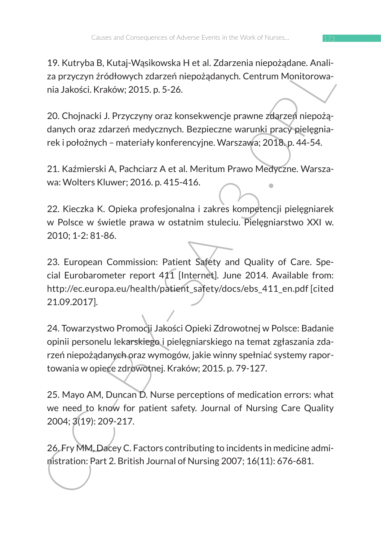19. Kutryba B, Kutaj-Wąsikowska H et al. Zdarzenia niepożądane. Analiza przyczyn źródłowych zdarzeń niepożądanych. Centrum Monitorowania Jakości. Kraków; 2015. p. 5-26.

20. Chojnacki J. Przyczyny oraz konsekwencje prawne zdarzeń niepożądanych oraz zdarzeń medycznych. Bezpieczne warunki pracy pielęgniarek i położnych – materiały konferencyjne. Warszawa; 2018. p. 44-54.

21. Kaźmierski A, Pachciarz A et al. Meritum Prawo Medyczne. Warszawa: Wolters Kluwer; 2016. p. 415-416.

22. Kieczka K. Opieka profesjonalna i zakres kompetencji pielęgniarek w Polsce w świetle prawa w ostatnim stuleciu. Pielęgniarstwo XXI w. 2010; 1-2: 81-86.

23. European Commission: Patient Safety and Quality of Care. Special Eurobarometer report 411 [Internet]. June 2014. Available from: http://ec.europa.eu/health/patient\_safety/docs/ebs\_411\_en.pdf [cited 21.09.2017].

17. Kutyua Is, Kutay-vashkowska ret at. Zazl zemla mepuzadam, exampendie. Antalien and a haddical methanological and a haddical Kraków; 2015. p. 5-26.<br>
20. Chojnacki J. Przyczyny oraz konsekwencje prawne zslązeni niepożąda 24. Towarzystwo Promocji Jakości Opieki Zdrowotnej w Polsce: Badanie opinii personelu lekarskiego i pielęgniarskiego na temat zgłaszania zdarzeń niepożądanych oraz wymogów, jakie winny spełniać systemy raportowania w opiece zdrowotnej. Kraków; 2015. p. 79-127.

25. Mayo AM, Duncan D. Nurse perceptions of medication errors: what we need to know for patient safety. Journal of Nursing Care Quality 2004; 3(19): 209-217.

26. Fry MM, Dacey C. Factors contributing to incidents in medicine administration: Part 2. British Journal of Nursing 2007; 16(11): 676-681.